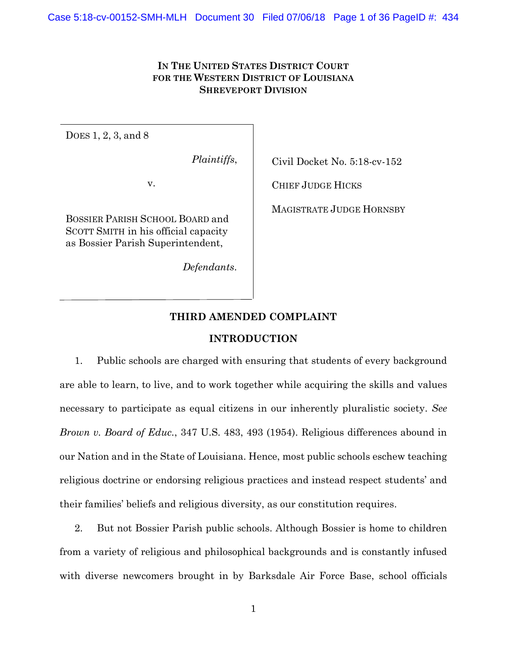# **IN THE UNITED STATES DISTRICT COURT FOR THE WESTERN DISTRICT OF LOUISIANA SHREVEPORT DIVISION**

DOES 1, 2, 3, and 8

*Plaintiffs*,

v.

BOSSIER PARISH SCHOOL BOARD and SCOTT SMITH in his official capacity as Bossier Parish Superintendent,

*Defendants*.

Civil Docket No. 5:18-cv-152

CHIEF JUDGE HICKS

MAGISTRATE JUDGE HORNSBY

# **THIRD AMENDED COMPLAINT**

### **INTRODUCTION**

1. Public schools are charged with ensuring that students of every background are able to learn, to live, and to work together while acquiring the skills and values necessary to participate as equal citizens in our inherently pluralistic society. *See Brown v. Board of Educ.*, 347 U.S. 483, 493 (1954). Religious differences abound in our Nation and in the State of Louisiana. Hence, most public schools eschew teaching religious doctrine or endorsing religious practices and instead respect students' and their families' beliefs and religious diversity, as our constitution requires.

2. But not Bossier Parish public schools. Although Bossier is home to children from a variety of religious and philosophical backgrounds and is constantly infused with diverse newcomers brought in by Barksdale Air Force Base, school officials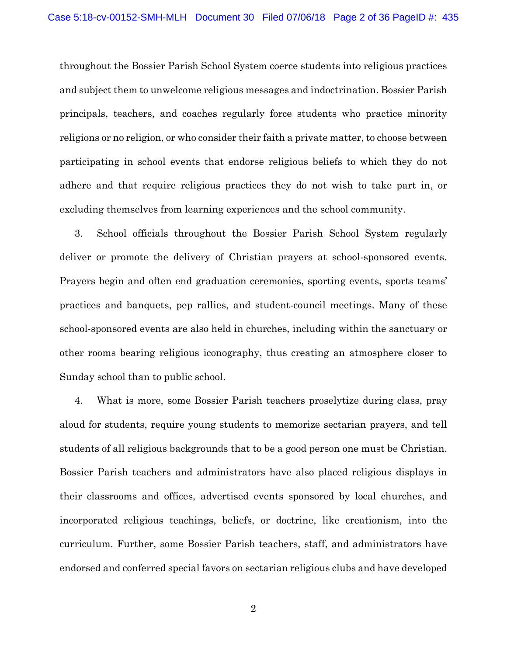throughout the Bossier Parish School System coerce students into religious practices and subject them to unwelcome religious messages and indoctrination. Bossier Parish principals, teachers, and coaches regularly force students who practice minority religions or no religion, or who consider their faith a private matter, to choose between participating in school events that endorse religious beliefs to which they do not adhere and that require religious practices they do not wish to take part in, or excluding themselves from learning experiences and the school community.

3. School officials throughout the Bossier Parish School System regularly deliver or promote the delivery of Christian prayers at school-sponsored events. Prayers begin and often end graduation ceremonies, sporting events, sports teams' practices and banquets, pep rallies, and student-council meetings. Many of these school-sponsored events are also held in churches, including within the sanctuary or other rooms bearing religious iconography, thus creating an atmosphere closer to Sunday school than to public school.

4. What is more, some Bossier Parish teachers proselytize during class, pray aloud for students, require young students to memorize sectarian prayers, and tell students of all religious backgrounds that to be a good person one must be Christian. Bossier Parish teachers and administrators have also placed religious displays in their classrooms and offices, advertised events sponsored by local churches, and incorporated religious teachings, beliefs, or doctrine, like creationism, into the curriculum. Further, some Bossier Parish teachers, staff, and administrators have endorsed and conferred special favors on sectarian religious clubs and have developed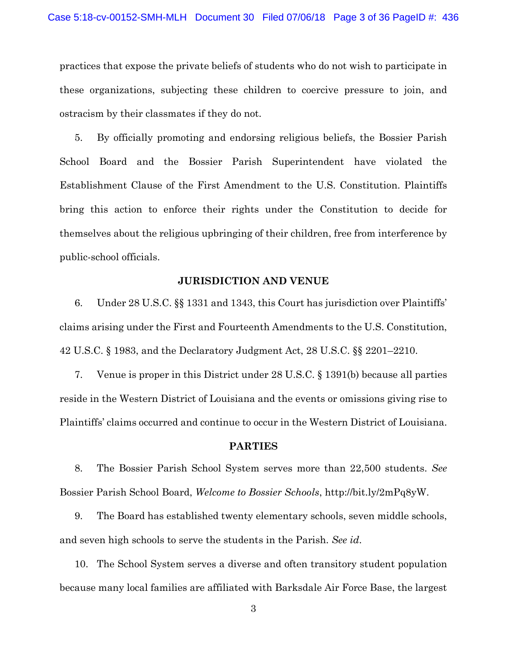practices that expose the private beliefs of students who do not wish to participate in these organizations, subjecting these children to coercive pressure to join, and ostracism by their classmates if they do not.

5. By officially promoting and endorsing religious beliefs, the Bossier Parish School Board and the Bossier Parish Superintendent have violated the Establishment Clause of the First Amendment to the U.S. Constitution. Plaintiffs bring this action to enforce their rights under the Constitution to decide for themselves about the religious upbringing of their children, free from interference by public-school officials.

### **JURISDICTION AND VENUE**

6. Under 28 U.S.C. §§ 1331 and 1343, this Court has jurisdiction over Plaintiffs' claims arising under the First and Fourteenth Amendments to the U.S. Constitution, 42 U.S.C. § 1983, and the Declaratory Judgment Act, 28 U.S.C. §§ 2201–2210.

7. Venue is proper in this District under 28 U.S.C. § 1391(b) because all parties reside in the Western District of Louisiana and the events or omissions giving rise to Plaintiffs' claims occurred and continue to occur in the Western District of Louisiana.

#### **PARTIES**

8. The Bossier Parish School System serves more than 22,500 students. *See*  Bossier Parish School Board, *Welcome to Bossier Schools*, http://bit.ly/2mPq8yW.

9. The Board has established twenty elementary schools, seven middle schools, and seven high schools to serve the students in the Parish. *See id*.

10. The School System serves a diverse and often transitory student population because many local families are affiliated with Barksdale Air Force Base, the largest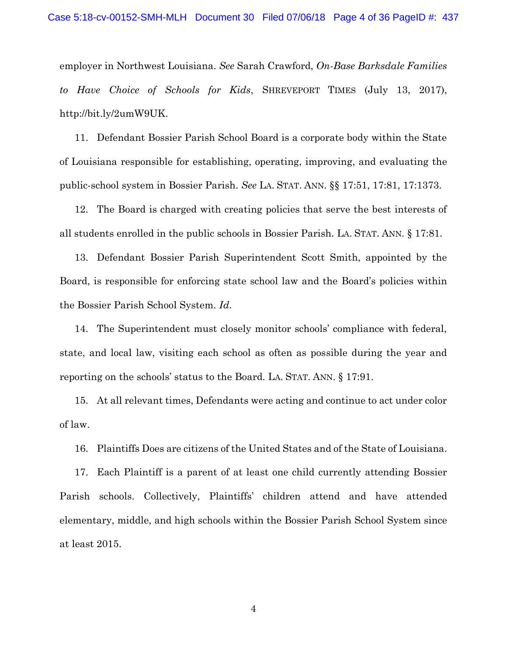employer in Northwest Louisiana. *See* Sarah Crawford, *On-Base Barksdale Families to Have Choice of Schools for Kids*, SHREVEPORT TIMES (July 13, 2017), http://bit.ly/2umW9UK.

11. Defendant Bossier Parish School Board is a corporate body within the State of Louisiana responsible for establishing, operating, improving, and evaluating the public-school system in Bossier Parish. *See* LA. STAT. ANN. §§ 17:51, 17:81, 17:1373.

12. The Board is charged with creating policies that serve the best interests of all students enrolled in the public schools in Bossier Parish. LA. STAT. ANN. § 17:81.

13. Defendant Bossier Parish Superintendent Scott Smith, appointed by the Board, is responsible for enforcing state school law and the Board's policies within the Bossier Parish School System. *Id*.

14. The Superintendent must closely monitor schools' compliance with federal, state, and local law, visiting each school as often as possible during the year and reporting on the schools' status to the Board. LA. STAT. ANN. § 17:91.

15. At all relevant times, Defendants were acting and continue to act under color of law.

16. Plaintiffs Does are citizens of the United States and of the State of Louisiana.

17. Each Plaintiff is a parent of at least one child currently attending Bossier Parish schools. Collectively, Plaintiffs' children attend and have attended elementary, middle, and high schools within the Bossier Parish School System since at least 2015.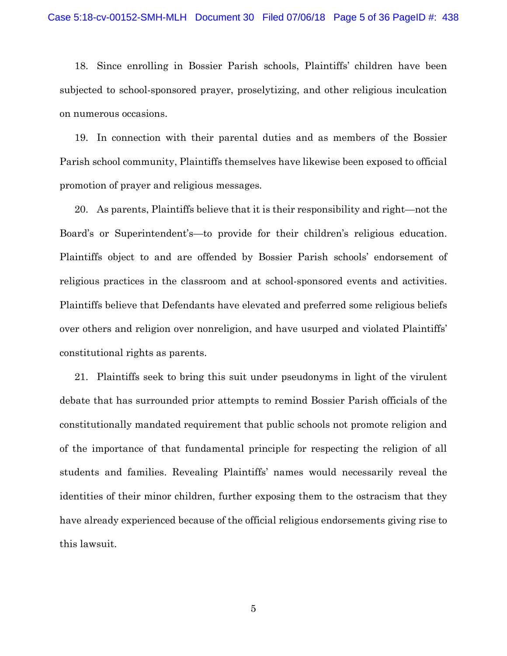18. Since enrolling in Bossier Parish schools, Plaintiffs' children have been subjected to school-sponsored prayer, proselytizing, and other religious inculcation on numerous occasions.

19. In connection with their parental duties and as members of the Bossier Parish school community, Plaintiffs themselves have likewise been exposed to official promotion of prayer and religious messages.

20. As parents, Plaintiffs believe that it is their responsibility and right—not the Board's or Superintendent's—to provide for their children's religious education. Plaintiffs object to and are offended by Bossier Parish schools' endorsement of religious practices in the classroom and at school-sponsored events and activities. Plaintiffs believe that Defendants have elevated and preferred some religious beliefs over others and religion over nonreligion, and have usurped and violated Plaintiffs' constitutional rights as parents.

21. Plaintiffs seek to bring this suit under pseudonyms in light of the virulent debate that has surrounded prior attempts to remind Bossier Parish officials of the constitutionally mandated requirement that public schools not promote religion and of the importance of that fundamental principle for respecting the religion of all students and families. Revealing Plaintiffs' names would necessarily reveal the identities of their minor children, further exposing them to the ostracism that they have already experienced because of the official religious endorsements giving rise to this lawsuit.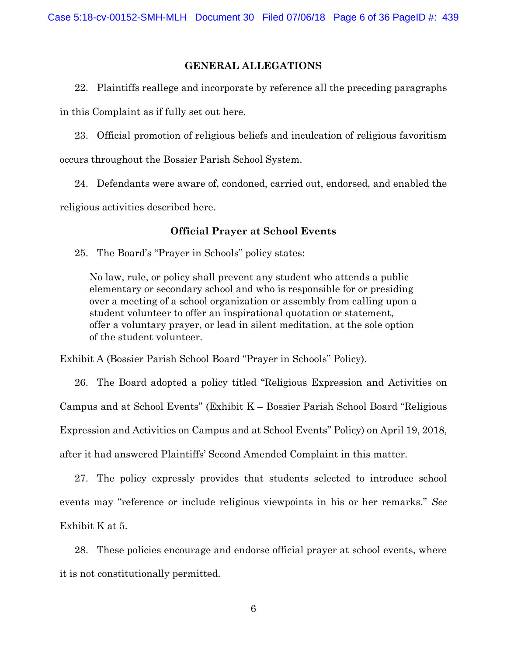## **GENERAL ALLEGATIONS**

22. Plaintiffs reallege and incorporate by reference all the preceding paragraphs in this Complaint as if fully set out here.

23. Official promotion of religious beliefs and inculcation of religious favoritism occurs throughout the Bossier Parish School System.

24. Defendants were aware of, condoned, carried out, endorsed, and enabled the religious activities described here.

## **Official Prayer at School Events**

25. The Board's "Prayer in Schools" policy states:

No law, rule, or policy shall prevent any student who attends a public elementary or secondary school and who is responsible for or presiding over a meeting of a school organization or assembly from calling upon a student volunteer to offer an inspirational quotation or statement, offer a voluntary prayer, or lead in silent meditation, at the sole option of the student volunteer.

Exhibit A (Bossier Parish School Board "Prayer in Schools" Policy).

26. The Board adopted a policy titled "Religious Expression and Activities on Campus and at School Events" (Exhibit K – Bossier Parish School Board "Religious Expression and Activities on Campus and at School Events" Policy) on April 19, 2018, after it had answered Plaintiffs' Second Amended Complaint in this matter.

27. The policy expressly provides that students selected to introduce school events may "reference or include religious viewpoints in his or her remarks." *See*  Exhibit K at 5.

28. These policies encourage and endorse official prayer at school events, where it is not constitutionally permitted.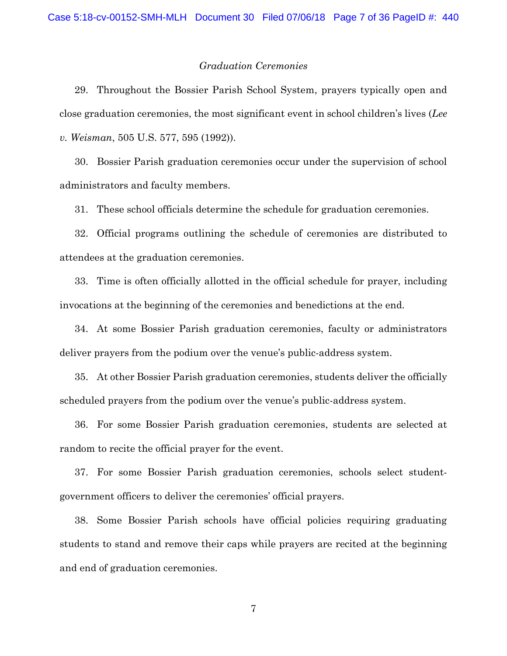#### *Graduation Ceremonies*

29. Throughout the Bossier Parish School System, prayers typically open and close graduation ceremonies, the most significant event in school children's lives (*Lee v. Weisman*, 505 U.S. 577, 595 (1992)).

30. Bossier Parish graduation ceremonies occur under the supervision of school administrators and faculty members.

31. These school officials determine the schedule for graduation ceremonies.

32. Official programs outlining the schedule of ceremonies are distributed to attendees at the graduation ceremonies.

33. Time is often officially allotted in the official schedule for prayer, including invocations at the beginning of the ceremonies and benedictions at the end.

34. At some Bossier Parish graduation ceremonies, faculty or administrators deliver prayers from the podium over the venue's public-address system.

35. At other Bossier Parish graduation ceremonies, students deliver the officially scheduled prayers from the podium over the venue's public-address system.

36. For some Bossier Parish graduation ceremonies, students are selected at random to recite the official prayer for the event.

37. For some Bossier Parish graduation ceremonies, schools select studentgovernment officers to deliver the ceremonies' official prayers.

38. Some Bossier Parish schools have official policies requiring graduating students to stand and remove their caps while prayers are recited at the beginning and end of graduation ceremonies.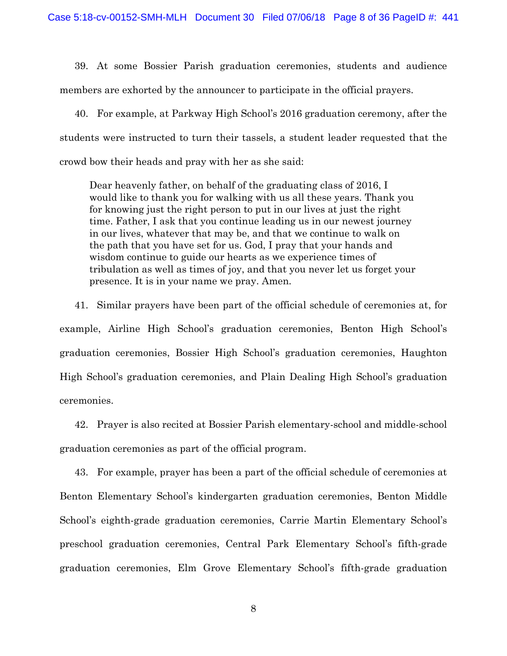39. At some Bossier Parish graduation ceremonies, students and audience members are exhorted by the announcer to participate in the official prayers.

40. For example, at Parkway High School's 2016 graduation ceremony, after the students were instructed to turn their tassels, a student leader requested that the crowd bow their heads and pray with her as she said:

Dear heavenly father, on behalf of the graduating class of 2016, I would like to thank you for walking with us all these years. Thank you for knowing just the right person to put in our lives at just the right time. Father, I ask that you continue leading us in our newest journey in our lives, whatever that may be, and that we continue to walk on the path that you have set for us. God, I pray that your hands and wisdom continue to guide our hearts as we experience times of tribulation as well as times of joy, and that you never let us forget your presence. It is in your name we pray. Amen.

41. Similar prayers have been part of the official schedule of ceremonies at, for example, Airline High School's graduation ceremonies, Benton High School's graduation ceremonies, Bossier High School's graduation ceremonies, Haughton High School's graduation ceremonies, and Plain Dealing High School's graduation ceremonies.

42. Prayer is also recited at Bossier Parish elementary-school and middle-school graduation ceremonies as part of the official program.

43. For example, prayer has been a part of the official schedule of ceremonies at Benton Elementary School's kindergarten graduation ceremonies, Benton Middle School's eighth-grade graduation ceremonies, Carrie Martin Elementary School's preschool graduation ceremonies, Central Park Elementary School's fifth-grade graduation ceremonies, Elm Grove Elementary School's fifth-grade graduation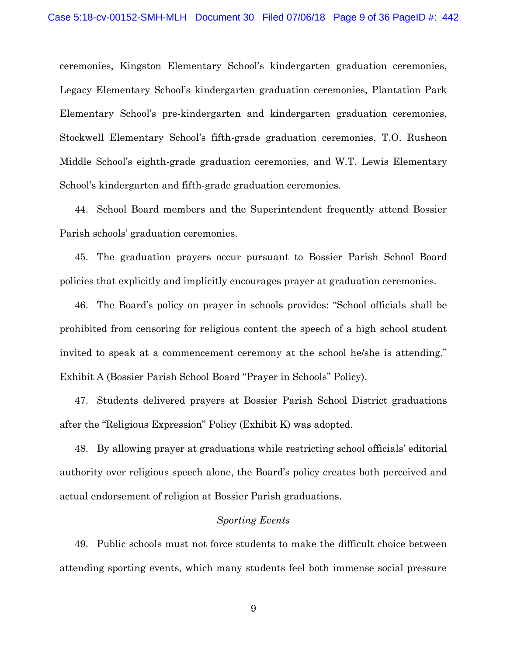ceremonies, Kingston Elementary School's kindergarten graduation ceremonies, Legacy Elementary School's kindergarten graduation ceremonies, Plantation Park Elementary School's pre-kindergarten and kindergarten graduation ceremonies, Stockwell Elementary School's fifth-grade graduation ceremonies, T.O. Rusheon Middle School's eighth-grade graduation ceremonies, and W.T. Lewis Elementary School's kindergarten and fifth-grade graduation ceremonies.

44. School Board members and the Superintendent frequently attend Bossier Parish schools' graduation ceremonies.

45. The graduation prayers occur pursuant to Bossier Parish School Board policies that explicitly and implicitly encourages prayer at graduation ceremonies.

46. The Board's policy on prayer in schools provides: "School officials shall be prohibited from censoring for religious content the speech of a high school student invited to speak at a commencement ceremony at the school he/she is attending." Exhibit A (Bossier Parish School Board "Prayer in Schools" Policy).

47. Students delivered prayers at Bossier Parish School District graduations after the "Religious Expression" Policy (Exhibit K) was adopted.

48. By allowing prayer at graduations while restricting school officials' editorial authority over religious speech alone, the Board's policy creates both perceived and actual endorsement of religion at Bossier Parish graduations.

### *Sporting Events*

49. Public schools must not force students to make the difficult choice between attending sporting events, which many students feel both immense social pressure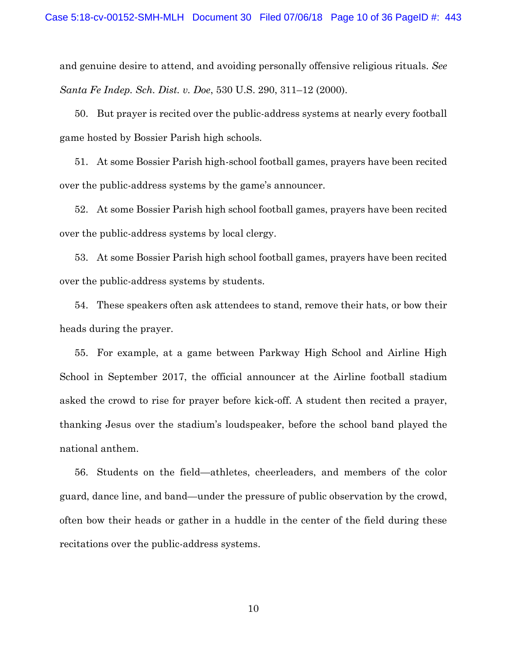and genuine desire to attend, and avoiding personally offensive religious rituals. *See Santa Fe Indep. Sch. Dist. v. Doe*, 530 U.S. 290, 311–12 (2000).

50. But prayer is recited over the public-address systems at nearly every football game hosted by Bossier Parish high schools.

51. At some Bossier Parish high-school football games, prayers have been recited over the public-address systems by the game's announcer.

52. At some Bossier Parish high school football games, prayers have been recited over the public-address systems by local clergy.

53. At some Bossier Parish high school football games, prayers have been recited over the public-address systems by students.

54. These speakers often ask attendees to stand, remove their hats, or bow their heads during the prayer.

55. For example, at a game between Parkway High School and Airline High School in September 2017, the official announcer at the Airline football stadium asked the crowd to rise for prayer before kick-off. A student then recited a prayer, thanking Jesus over the stadium's loudspeaker, before the school band played the national anthem.

56. Students on the field—athletes, cheerleaders, and members of the color guard, dance line, and band—under the pressure of public observation by the crowd, often bow their heads or gather in a huddle in the center of the field during these recitations over the public-address systems.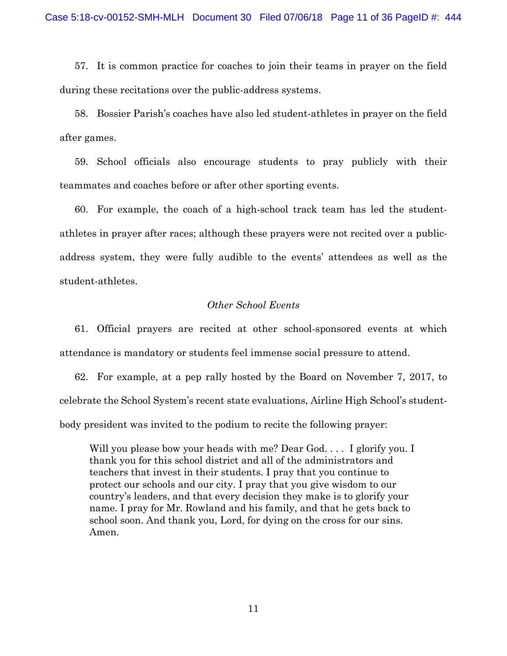57. It is common practice for coaches to join their teams in prayer on the field during these recitations over the public-address systems.

58. Bossier Parish's coaches have also led student-athletes in prayer on the field after games.

59. School officials also encourage students to pray publicly with their teammates and coaches before or after other sporting events.

60. For example, the coach of a high-school track team has led the studentathletes in prayer after races; although these prayers were not recited over a publicaddress system, they were fully audible to the events' attendees as well as the student-athletes.

### *Other School Events*

61. Official prayers are recited at other school-sponsored events at which attendance is mandatory or students feel immense social pressure to attend.

62. For example, at a pep rally hosted by the Board on November 7, 2017, to celebrate the School System's recent state evaluations, Airline High School's studentbody president was invited to the podium to recite the following prayer:

Will you please bow your heads with me? Dear God.... I glorify you. I thank you for this school district and all of the administrators and teachers that invest in their students. I pray that you continue to protect our schools and our city. I pray that you give wisdom to our country's leaders, and that every decision they make is to glorify your name. I pray for Mr. Rowland and his family, and that he gets back to school soon. And thank you, Lord, for dying on the cross for our sins. Amen.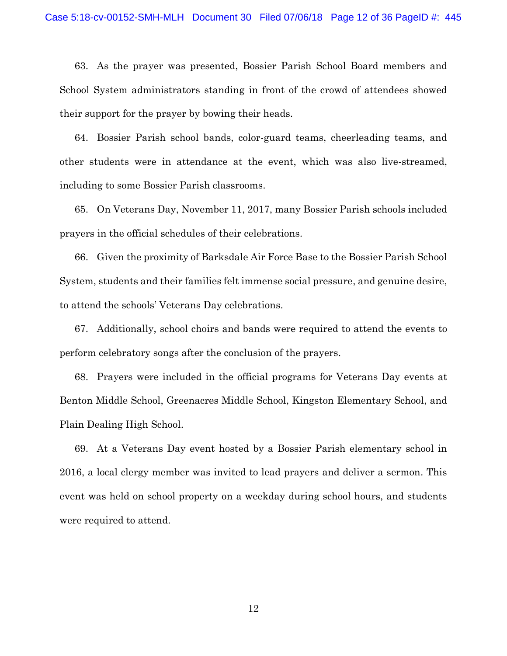63. As the prayer was presented, Bossier Parish School Board members and School System administrators standing in front of the crowd of attendees showed their support for the prayer by bowing their heads.

64. Bossier Parish school bands, color-guard teams, cheerleading teams, and other students were in attendance at the event, which was also live-streamed, including to some Bossier Parish classrooms.

65. On Veterans Day, November 11, 2017, many Bossier Parish schools included prayers in the official schedules of their celebrations.

66. Given the proximity of Barksdale Air Force Base to the Bossier Parish School System, students and their families felt immense social pressure, and genuine desire, to attend the schools' Veterans Day celebrations.

67. Additionally, school choirs and bands were required to attend the events to perform celebratory songs after the conclusion of the prayers.

68. Prayers were included in the official programs for Veterans Day events at Benton Middle School, Greenacres Middle School, Kingston Elementary School, and Plain Dealing High School.

69. At a Veterans Day event hosted by a Bossier Parish elementary school in 2016, a local clergy member was invited to lead prayers and deliver a sermon. This event was held on school property on a weekday during school hours, and students were required to attend.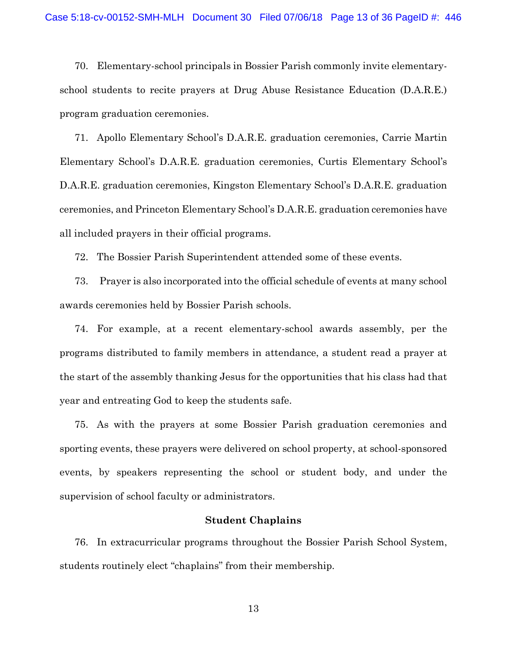70. Elementary-school principals in Bossier Parish commonly invite elementaryschool students to recite prayers at Drug Abuse Resistance Education (D.A.R.E.) program graduation ceremonies.

71. Apollo Elementary School's D.A.R.E. graduation ceremonies, Carrie Martin Elementary School's D.A.R.E. graduation ceremonies, Curtis Elementary School's D.A.R.E. graduation ceremonies, Kingston Elementary School's D.A.R.E. graduation ceremonies, and Princeton Elementary School's D.A.R.E. graduation ceremonies have all included prayers in their official programs.

72. The Bossier Parish Superintendent attended some of these events.

73. Prayer is also incorporated into the official schedule of events at many school awards ceremonies held by Bossier Parish schools.

74. For example, at a recent elementary-school awards assembly, per the programs distributed to family members in attendance, a student read a prayer at the start of the assembly thanking Jesus for the opportunities that his class had that year and entreating God to keep the students safe.

75. As with the prayers at some Bossier Parish graduation ceremonies and sporting events, these prayers were delivered on school property, at school-sponsored events, by speakers representing the school or student body, and under the supervision of school faculty or administrators.

### **Student Chaplains**

76. In extracurricular programs throughout the Bossier Parish School System, students routinely elect "chaplains" from their membership.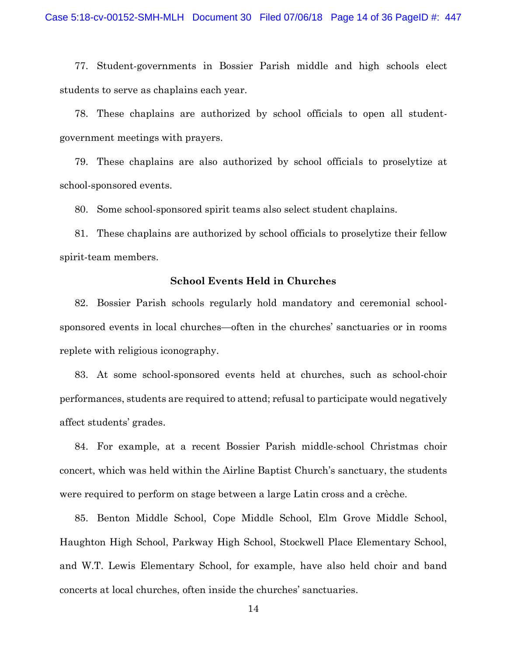77. Student-governments in Bossier Parish middle and high schools elect students to serve as chaplains each year.

78. These chaplains are authorized by school officials to open all studentgovernment meetings with prayers.

79. These chaplains are also authorized by school officials to proselytize at school-sponsored events.

80. Some school-sponsored spirit teams also select student chaplains.

81. These chaplains are authorized by school officials to proselytize their fellow spirit-team members.

#### **School Events Held in Churches**

82. Bossier Parish schools regularly hold mandatory and ceremonial schoolsponsored events in local churches—often in the churches' sanctuaries or in rooms replete with religious iconography.

83. At some school-sponsored events held at churches, such as school-choir performances, students are required to attend; refusal to participate would negatively affect students' grades.

84. For example, at a recent Bossier Parish middle-school Christmas choir concert, which was held within the Airline Baptist Church's sanctuary, the students were required to perform on stage between a large Latin cross and a crèche.

85. Benton Middle School, Cope Middle School, Elm Grove Middle School, Haughton High School, Parkway High School, Stockwell Place Elementary School, and W.T. Lewis Elementary School, for example, have also held choir and band concerts at local churches, often inside the churches' sanctuaries.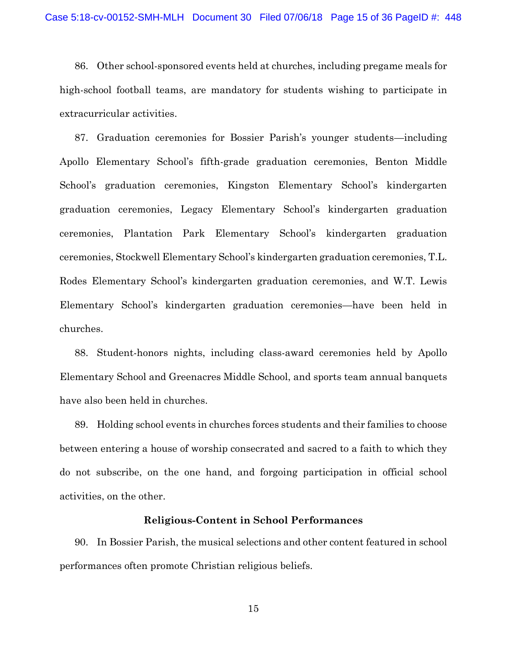86. Other school-sponsored events held at churches, including pregame meals for high-school football teams, are mandatory for students wishing to participate in extracurricular activities.

87. Graduation ceremonies for Bossier Parish's younger students—including Apollo Elementary School's fifth-grade graduation ceremonies, Benton Middle School's graduation ceremonies, Kingston Elementary School's kindergarten graduation ceremonies, Legacy Elementary School's kindergarten graduation ceremonies, Plantation Park Elementary School's kindergarten graduation ceremonies, Stockwell Elementary School's kindergarten graduation ceremonies, T.L. Rodes Elementary School's kindergarten graduation ceremonies, and W.T. Lewis Elementary School's kindergarten graduation ceremonies—have been held in churches.

88. Student-honors nights, including class-award ceremonies held by Apollo Elementary School and Greenacres Middle School, and sports team annual banquets have also been held in churches.

89. Holding school events in churches forces students and their families to choose between entering a house of worship consecrated and sacred to a faith to which they do not subscribe, on the one hand, and forgoing participation in official school activities, on the other.

### **Religious-Content in School Performances**

90. In Bossier Parish, the musical selections and other content featured in school performances often promote Christian religious beliefs.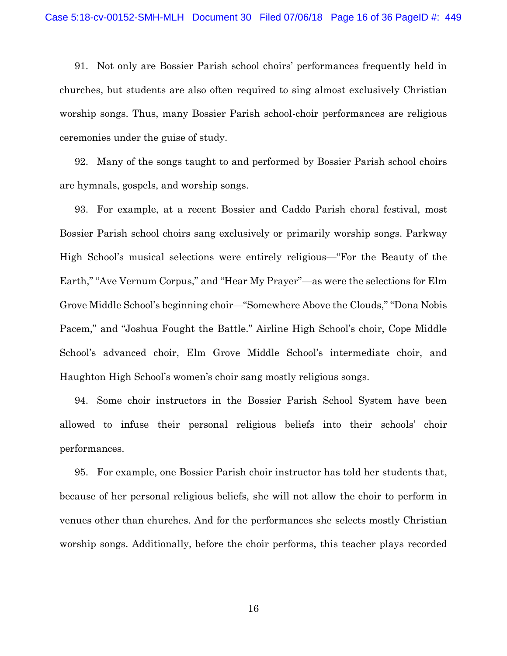91. Not only are Bossier Parish school choirs' performances frequently held in churches, but students are also often required to sing almost exclusively Christian worship songs. Thus, many Bossier Parish school-choir performances are religious ceremonies under the guise of study.

92. Many of the songs taught to and performed by Bossier Parish school choirs are hymnals, gospels, and worship songs.

93. For example, at a recent Bossier and Caddo Parish choral festival, most Bossier Parish school choirs sang exclusively or primarily worship songs. Parkway High School's musical selections were entirely religious—"For the Beauty of the Earth," "Ave Vernum Corpus," and "Hear My Prayer"—as were the selections for Elm Grove Middle School's beginning choir—"Somewhere Above the Clouds," "Dona Nobis Pacem," and "Joshua Fought the Battle." Airline High School's choir, Cope Middle School's advanced choir, Elm Grove Middle School's intermediate choir, and Haughton High School's women's choir sang mostly religious songs.

94. Some choir instructors in the Bossier Parish School System have been allowed to infuse their personal religious beliefs into their schools' choir performances.

95. For example, one Bossier Parish choir instructor has told her students that, because of her personal religious beliefs, she will not allow the choir to perform in venues other than churches. And for the performances she selects mostly Christian worship songs. Additionally, before the choir performs, this teacher plays recorded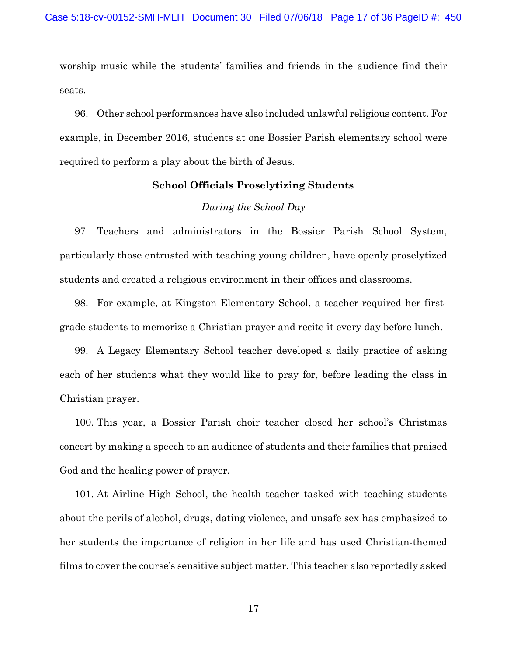worship music while the students' families and friends in the audience find their seats.

96. Other school performances have also included unlawful religious content. For example, in December 2016, students at one Bossier Parish elementary school were required to perform a play about the birth of Jesus.

#### **School Officials Proselytizing Students**

### *During the School Day*

97. Teachers and administrators in the Bossier Parish School System, particularly those entrusted with teaching young children, have openly proselytized students and created a religious environment in their offices and classrooms.

98. For example, at Kingston Elementary School, a teacher required her firstgrade students to memorize a Christian prayer and recite it every day before lunch.

99. A Legacy Elementary School teacher developed a daily practice of asking each of her students what they would like to pray for, before leading the class in Christian prayer.

100. This year, a Bossier Parish choir teacher closed her school's Christmas concert by making a speech to an audience of students and their families that praised God and the healing power of prayer.

101. At Airline High School, the health teacher tasked with teaching students about the perils of alcohol, drugs, dating violence, and unsafe sex has emphasized to her students the importance of religion in her life and has used Christian-themed films to cover the course's sensitive subject matter. This teacher also reportedly asked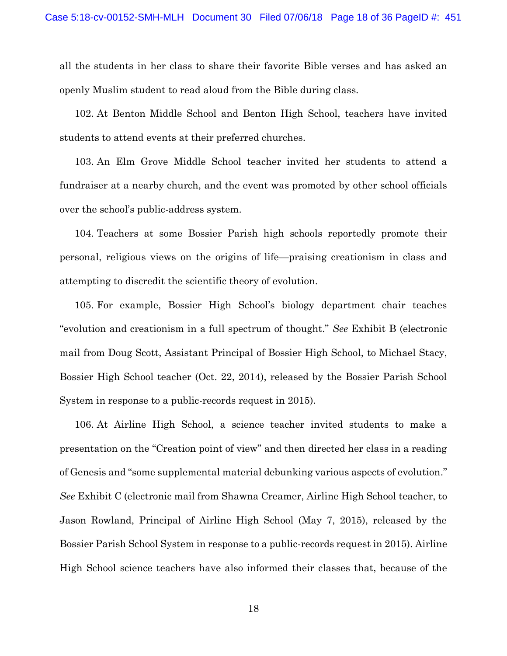all the students in her class to share their favorite Bible verses and has asked an openly Muslim student to read aloud from the Bible during class.

102. At Benton Middle School and Benton High School, teachers have invited students to attend events at their preferred churches.

103. An Elm Grove Middle School teacher invited her students to attend a fundraiser at a nearby church, and the event was promoted by other school officials over the school's public-address system.

104. Teachers at some Bossier Parish high schools reportedly promote their personal, religious views on the origins of life—praising creationism in class and attempting to discredit the scientific theory of evolution.

105. For example, Bossier High School's biology department chair teaches "evolution and creationism in a full spectrum of thought." *See* Exhibit B (electronic mail from Doug Scott, Assistant Principal of Bossier High School, to Michael Stacy, Bossier High School teacher (Oct. 22, 2014), released by the Bossier Parish School System in response to a public-records request in 2015).

106. At Airline High School, a science teacher invited students to make a presentation on the "Creation point of view" and then directed her class in a reading of Genesis and "some supplemental material debunking various aspects of evolution." *See* Exhibit C (electronic mail from Shawna Creamer, Airline High School teacher, to Jason Rowland, Principal of Airline High School (May 7, 2015), released by the Bossier Parish School System in response to a public-records request in 2015). Airline High School science teachers have also informed their classes that, because of the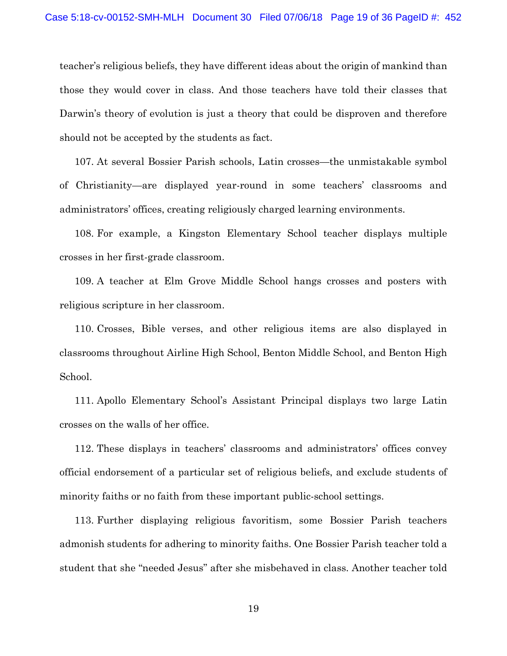teacher's religious beliefs, they have different ideas about the origin of mankind than those they would cover in class. And those teachers have told their classes that Darwin's theory of evolution is just a theory that could be disproven and therefore should not be accepted by the students as fact.

107. At several Bossier Parish schools, Latin crosses—the unmistakable symbol of Christianity—are displayed year-round in some teachers' classrooms and administrators' offices, creating religiously charged learning environments.

108. For example, a Kingston Elementary School teacher displays multiple crosses in her first-grade classroom.

109. A teacher at Elm Grove Middle School hangs crosses and posters with religious scripture in her classroom.

110. Crosses, Bible verses, and other religious items are also displayed in classrooms throughout Airline High School, Benton Middle School, and Benton High School.

111. Apollo Elementary School's Assistant Principal displays two large Latin crosses on the walls of her office.

112. These displays in teachers' classrooms and administrators' offices convey official endorsement of a particular set of religious beliefs, and exclude students of minority faiths or no faith from these important public-school settings.

113. Further displaying religious favoritism, some Bossier Parish teachers admonish students for adhering to minority faiths. One Bossier Parish teacher told a student that she "needed Jesus" after she misbehaved in class. Another teacher told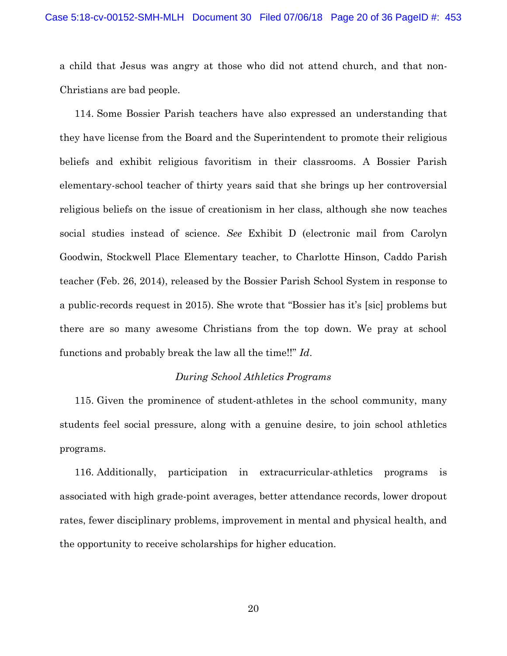a child that Jesus was angry at those who did not attend church, and that non-Christians are bad people.

114. Some Bossier Parish teachers have also expressed an understanding that they have license from the Board and the Superintendent to promote their religious beliefs and exhibit religious favoritism in their classrooms. A Bossier Parish elementary-school teacher of thirty years said that she brings up her controversial religious beliefs on the issue of creationism in her class, although she now teaches social studies instead of science. *See* Exhibit D (electronic mail from Carolyn Goodwin, Stockwell Place Elementary teacher, to Charlotte Hinson, Caddo Parish teacher (Feb. 26, 2014), released by the Bossier Parish School System in response to a public-records request in 2015). She wrote that "Bossier has it's [sic] problems but there are so many awesome Christians from the top down. We pray at school functions and probably break the law all the time!!" *Id*.

#### *During School Athletics Programs*

115. Given the prominence of student-athletes in the school community, many students feel social pressure, along with a genuine desire, to join school athletics programs.

116. Additionally, participation in extracurricular-athletics programs is associated with high grade-point averages, better attendance records, lower dropout rates, fewer disciplinary problems, improvement in mental and physical health, and the opportunity to receive scholarships for higher education.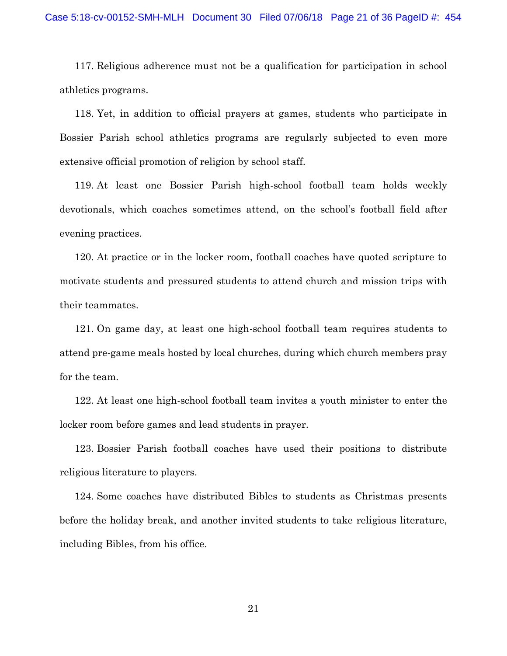117. Religious adherence must not be a qualification for participation in school athletics programs.

118. Yet, in addition to official prayers at games, students who participate in Bossier Parish school athletics programs are regularly subjected to even more extensive official promotion of religion by school staff.

119. At least one Bossier Parish high-school football team holds weekly devotionals, which coaches sometimes attend, on the school's football field after evening practices.

120. At practice or in the locker room, football coaches have quoted scripture to motivate students and pressured students to attend church and mission trips with their teammates.

121. On game day, at least one high-school football team requires students to attend pre-game meals hosted by local churches, during which church members pray for the team.

122. At least one high-school football team invites a youth minister to enter the locker room before games and lead students in prayer.

123. Bossier Parish football coaches have used their positions to distribute religious literature to players.

124. Some coaches have distributed Bibles to students as Christmas presents before the holiday break, and another invited students to take religious literature, including Bibles, from his office.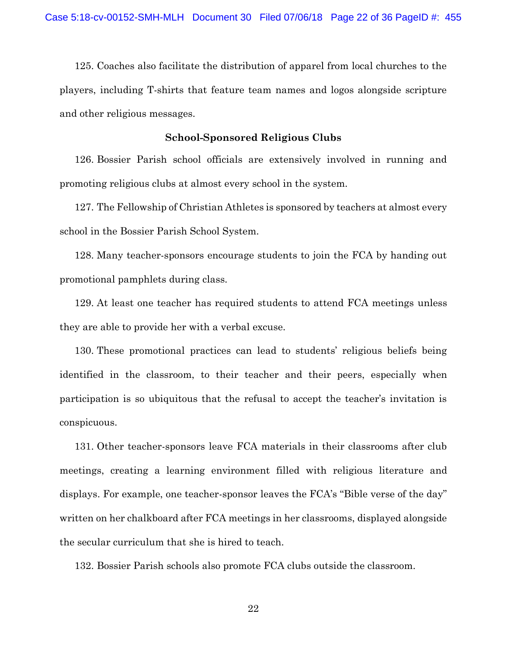125. Coaches also facilitate the distribution of apparel from local churches to the players, including T-shirts that feature team names and logos alongside scripture and other religious messages.

## **School-Sponsored Religious Clubs**

126. Bossier Parish school officials are extensively involved in running and promoting religious clubs at almost every school in the system.

127. The Fellowship of Christian Athletes is sponsored by teachers at almost every school in the Bossier Parish School System.

128. Many teacher-sponsors encourage students to join the FCA by handing out promotional pamphlets during class.

129. At least one teacher has required students to attend FCA meetings unless they are able to provide her with a verbal excuse.

130. These promotional practices can lead to students' religious beliefs being identified in the classroom, to their teacher and their peers, especially when participation is so ubiquitous that the refusal to accept the teacher's invitation is conspicuous.

131. Other teacher-sponsors leave FCA materials in their classrooms after club meetings, creating a learning environment filled with religious literature and displays. For example, one teacher-sponsor leaves the FCA's "Bible verse of the day" written on her chalkboard after FCA meetings in her classrooms, displayed alongside the secular curriculum that she is hired to teach.

132. Bossier Parish schools also promote FCA clubs outside the classroom.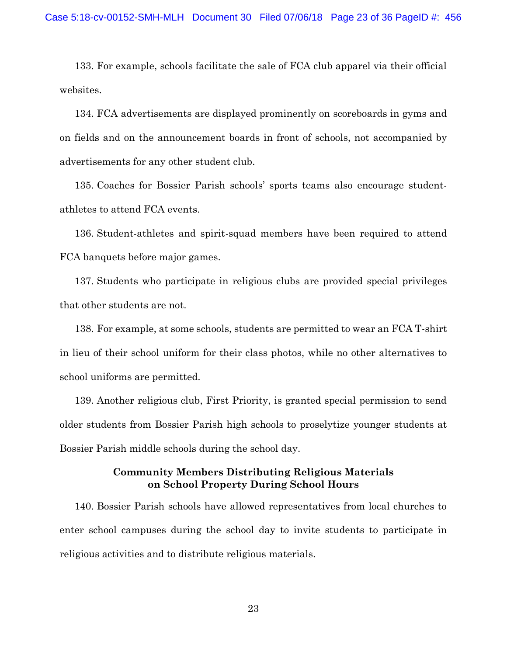133. For example, schools facilitate the sale of FCA club apparel via their official websites.

134. FCA advertisements are displayed prominently on scoreboards in gyms and on fields and on the announcement boards in front of schools, not accompanied by advertisements for any other student club.

135. Coaches for Bossier Parish schools' sports teams also encourage studentathletes to attend FCA events.

136. Student-athletes and spirit-squad members have been required to attend FCA banquets before major games.

137. Students who participate in religious clubs are provided special privileges that other students are not.

138. For example, at some schools, students are permitted to wear an FCA T-shirt in lieu of their school uniform for their class photos, while no other alternatives to school uniforms are permitted.

139. Another religious club, First Priority, is granted special permission to send older students from Bossier Parish high schools to proselytize younger students at Bossier Parish middle schools during the school day.

### **Community Members Distributing Religious Materials on School Property During School Hours**

140. Bossier Parish schools have allowed representatives from local churches to enter school campuses during the school day to invite students to participate in religious activities and to distribute religious materials.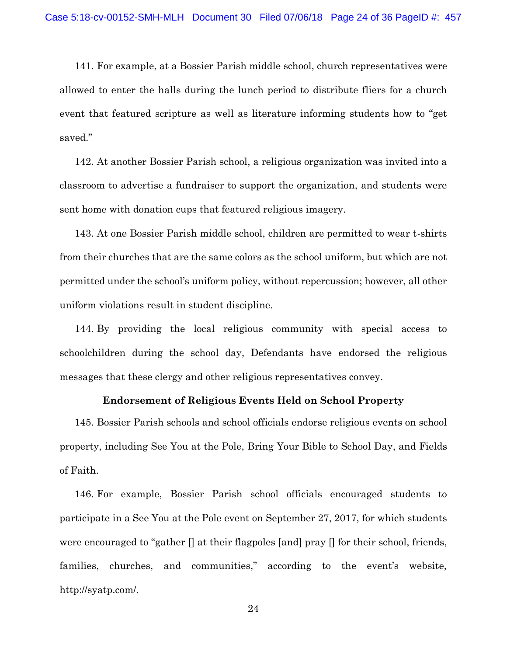141. For example, at a Bossier Parish middle school, church representatives were allowed to enter the halls during the lunch period to distribute fliers for a church event that featured scripture as well as literature informing students how to "get saved."

142. At another Bossier Parish school, a religious organization was invited into a classroom to advertise a fundraiser to support the organization, and students were sent home with donation cups that featured religious imagery.

143. At one Bossier Parish middle school, children are permitted to wear t-shirts from their churches that are the same colors as the school uniform, but which are not permitted under the school's uniform policy, without repercussion; however, all other uniform violations result in student discipline.

144. By providing the local religious community with special access to schoolchildren during the school day, Defendants have endorsed the religious messages that these clergy and other religious representatives convey.

### **Endorsement of Religious Events Held on School Property**

145. Bossier Parish schools and school officials endorse religious events on school property, including See You at the Pole, Bring Your Bible to School Day, and Fields of Faith.

146. For example, Bossier Parish school officials encouraged students to participate in a See You at the Pole event on September 27, 2017, for which students were encouraged to "gather [] at their flagpoles [and] pray [] for their school, friends, families, churches, and communities," according to the event's website, http://syatp.com/.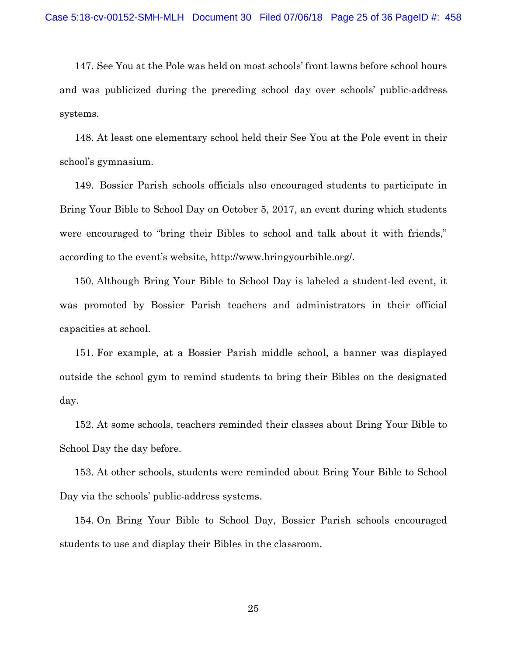147. See You at the Pole was held on most schools' front lawns before school hours and was publicized during the preceding school day over schools' public-address systems.

148. At least one elementary school held their See You at the Pole event in their school's gymnasium.

149. Bossier Parish schools officials also encouraged students to participate in Bring Your Bible to School Day on October 5, 2017, an event during which students were encouraged to "bring their Bibles to school and talk about it with friends," according to the event's website, http://www.bringyourbible.org/.

150. Although Bring Your Bible to School Day is labeled a student-led event, it was promoted by Bossier Parish teachers and administrators in their official capacities at school.

151. For example, at a Bossier Parish middle school, a banner was displayed outside the school gym to remind students to bring their Bibles on the designated day.

152. At some schools, teachers reminded their classes about Bring Your Bible to School Day the day before.

153. At other schools, students were reminded about Bring Your Bible to School Day via the schools' public-address systems.

154. On Bring Your Bible to School Day, Bossier Parish schools encouraged students to use and display their Bibles in the classroom.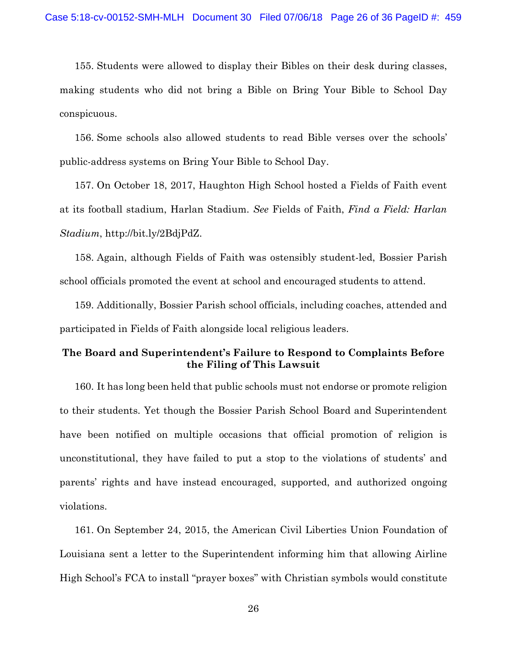155. Students were allowed to display their Bibles on their desk during classes, making students who did not bring a Bible on Bring Your Bible to School Day conspicuous.

156. Some schools also allowed students to read Bible verses over the schools' public-address systems on Bring Your Bible to School Day.

157. On October 18, 2017, Haughton High School hosted a Fields of Faith event at its football stadium, Harlan Stadium. *See* Fields of Faith, *Find a Field: Harlan Stadium*, http://bit.ly/2BdjPdZ.

158. Again, although Fields of Faith was ostensibly student-led, Bossier Parish school officials promoted the event at school and encouraged students to attend.

159. Additionally, Bossier Parish school officials, including coaches, attended and participated in Fields of Faith alongside local religious leaders.

# **The Board and Superintendent's Failure to Respond to Complaints Before the Filing of This Lawsuit**

160. It has long been held that public schools must not endorse or promote religion to their students. Yet though the Bossier Parish School Board and Superintendent have been notified on multiple occasions that official promotion of religion is unconstitutional, they have failed to put a stop to the violations of students' and parents' rights and have instead encouraged, supported, and authorized ongoing violations.

161. On September 24, 2015, the American Civil Liberties Union Foundation of Louisiana sent a letter to the Superintendent informing him that allowing Airline High School's FCA to install "prayer boxes" with Christian symbols would constitute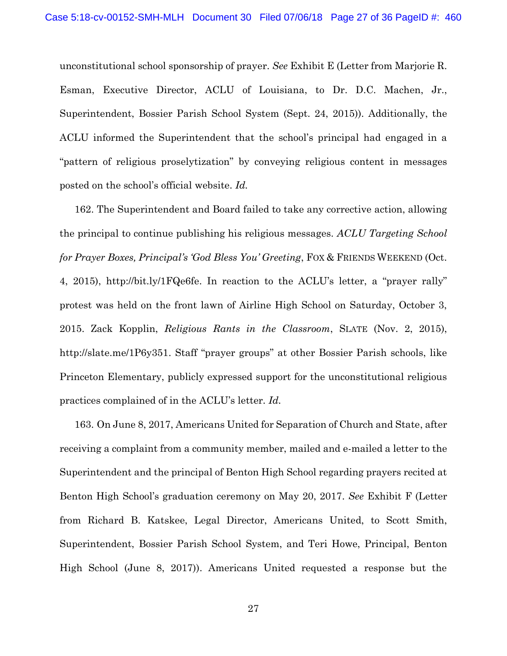unconstitutional school sponsorship of prayer. *See* Exhibit E (Letter from Marjorie R. Esman, Executive Director, ACLU of Louisiana, to Dr. D.C. Machen, Jr., Superintendent, Bossier Parish School System (Sept. 24, 2015)). Additionally, the ACLU informed the Superintendent that the school's principal had engaged in a "pattern of religious proselytization" by conveying religious content in messages posted on the school's official website. *Id.*

162. The Superintendent and Board failed to take any corrective action, allowing the principal to continue publishing his religious messages. *ACLU Targeting School for Prayer Boxes, Principal's 'God Bless You' Greeting*, FOX & FRIENDS WEEKEND (Oct. 4, 2015), http://bit.ly/1FQe6fe. In reaction to the ACLU's letter, a "prayer rally" protest was held on the front lawn of Airline High School on Saturday, October 3, 2015. Zack Kopplin, *Religious Rants in the Classroom*, SLATE (Nov. 2, 2015), http://slate.me/1P6y351. Staff "prayer groups" at other Bossier Parish schools, like Princeton Elementary, publicly expressed support for the unconstitutional religious practices complained of in the ACLU's letter. *Id.*

163. On June 8, 2017, Americans United for Separation of Church and State, after receiving a complaint from a community member, mailed and e-mailed a letter to the Superintendent and the principal of Benton High School regarding prayers recited at Benton High School's graduation ceremony on May 20, 2017. *See* Exhibit F (Letter from Richard B. Katskee, Legal Director, Americans United, to Scott Smith, Superintendent, Bossier Parish School System, and Teri Howe, Principal, Benton High School (June 8, 2017)). Americans United requested a response but the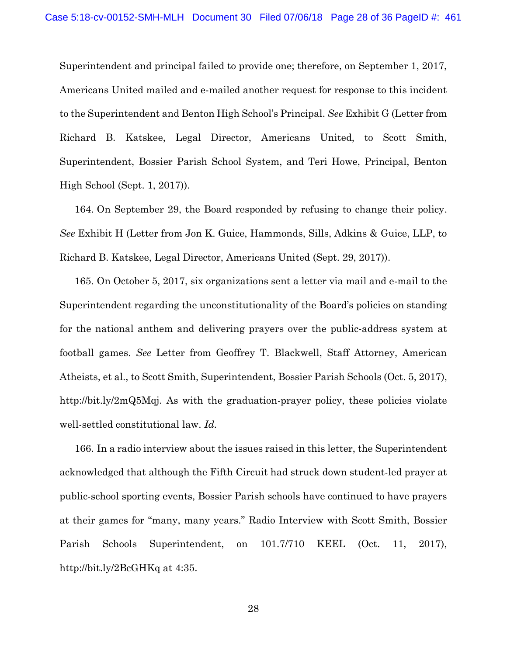Superintendent and principal failed to provide one; therefore, on September 1, 2017, Americans United mailed and e-mailed another request for response to this incident to the Superintendent and Benton High School's Principal. *See* Exhibit G (Letter from Richard B. Katskee, Legal Director, Americans United, to Scott Smith, Superintendent, Bossier Parish School System, and Teri Howe, Principal, Benton High School (Sept. 1, 2017)).

164. On September 29, the Board responded by refusing to change their policy. *See* Exhibit H (Letter from Jon K. Guice, Hammonds, Sills, Adkins & Guice, LLP, to Richard B. Katskee, Legal Director, Americans United (Sept. 29, 2017)).

165. On October 5, 2017, six organizations sent a letter via mail and e-mail to the Superintendent regarding the unconstitutionality of the Board's policies on standing for the national anthem and delivering prayers over the public-address system at football games. *See* Letter from Geoffrey T. Blackwell, Staff Attorney, American Atheists, et al., to Scott Smith, Superintendent, Bossier Parish Schools (Oct. 5, 2017), http://bit.ly/2mQ5Mqj. As with the graduation-prayer policy, these policies violate well-settled constitutional law. *Id.*

166. In a radio interview about the issues raised in this letter, the Superintendent acknowledged that although the Fifth Circuit had struck down student-led prayer at public-school sporting events, Bossier Parish schools have continued to have prayers at their games for "many, many years." Radio Interview with Scott Smith, Bossier Parish Schools Superintendent, on 101.7/710 KEEL (Oct. 11, 2017), http://bit.ly/2BcGHKq at 4:35.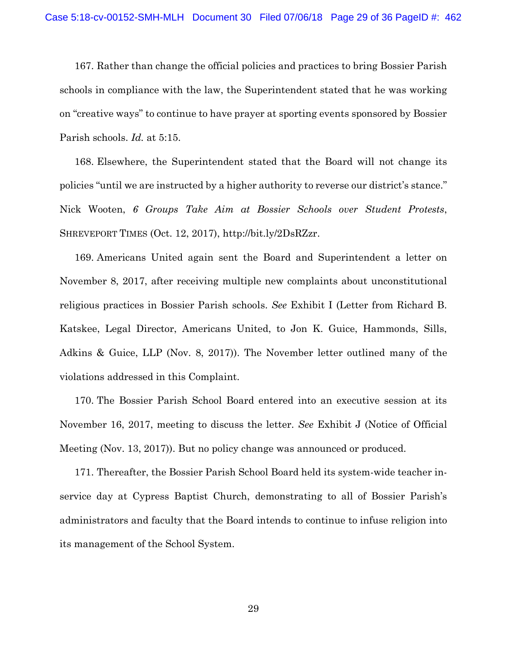167. Rather than change the official policies and practices to bring Bossier Parish schools in compliance with the law, the Superintendent stated that he was working on "creative ways" to continue to have prayer at sporting events sponsored by Bossier Parish schools. *Id.* at 5:15.

168. Elsewhere, the Superintendent stated that the Board will not change its policies "until we are instructed by a higher authority to reverse our district's stance." Nick Wooten, *6 Groups Take Aim at Bossier Schools over Student Protests*, SHREVEPORT TIMES (Oct. 12, 2017), http://bit.ly/2DsRZzr.

169. Americans United again sent the Board and Superintendent a letter on November 8, 2017, after receiving multiple new complaints about unconstitutional religious practices in Bossier Parish schools. *See* Exhibit I (Letter from Richard B. Katskee, Legal Director, Americans United, to Jon K. Guice, Hammonds, Sills, Adkins & Guice, LLP (Nov. 8, 2017)). The November letter outlined many of the violations addressed in this Complaint.

170. The Bossier Parish School Board entered into an executive session at its November 16, 2017, meeting to discuss the letter. *See* Exhibit J (Notice of Official Meeting (Nov. 13, 2017)). But no policy change was announced or produced.

171. Thereafter, the Bossier Parish School Board held its system-wide teacher inservice day at Cypress Baptist Church, demonstrating to all of Bossier Parish's administrators and faculty that the Board intends to continue to infuse religion into its management of the School System.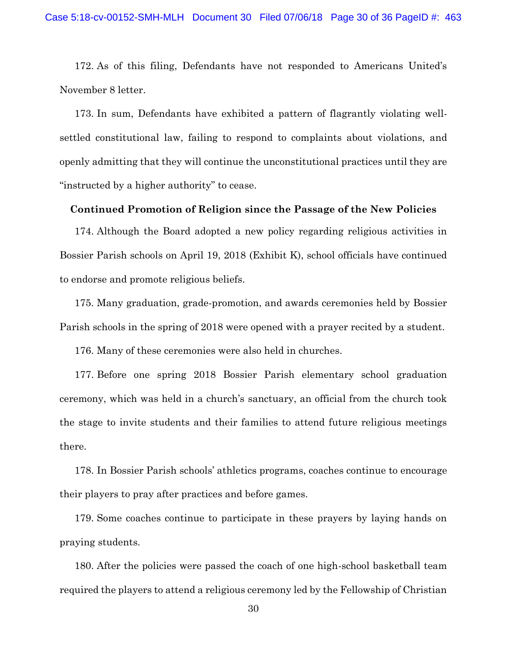172. As of this filing, Defendants have not responded to Americans United's November 8 letter.

173. In sum, Defendants have exhibited a pattern of flagrantly violating wellsettled constitutional law, failing to respond to complaints about violations, and openly admitting that they will continue the unconstitutional practices until they are "instructed by a higher authority" to cease.

### **Continued Promotion of Religion since the Passage of the New Policies**

174. Although the Board adopted a new policy regarding religious activities in Bossier Parish schools on April 19, 2018 (Exhibit K), school officials have continued to endorse and promote religious beliefs.

175. Many graduation, grade-promotion, and awards ceremonies held by Bossier Parish schools in the spring of 2018 were opened with a prayer recited by a student.

176. Many of these ceremonies were also held in churches.

177. Before one spring 2018 Bossier Parish elementary school graduation ceremony, which was held in a church's sanctuary, an official from the church took the stage to invite students and their families to attend future religious meetings there.

178. In Bossier Parish schools' athletics programs, coaches continue to encourage their players to pray after practices and before games.

179. Some coaches continue to participate in these prayers by laying hands on praying students.

180. After the policies were passed the coach of one high-school basketball team required the players to attend a religious ceremony led by the Fellowship of Christian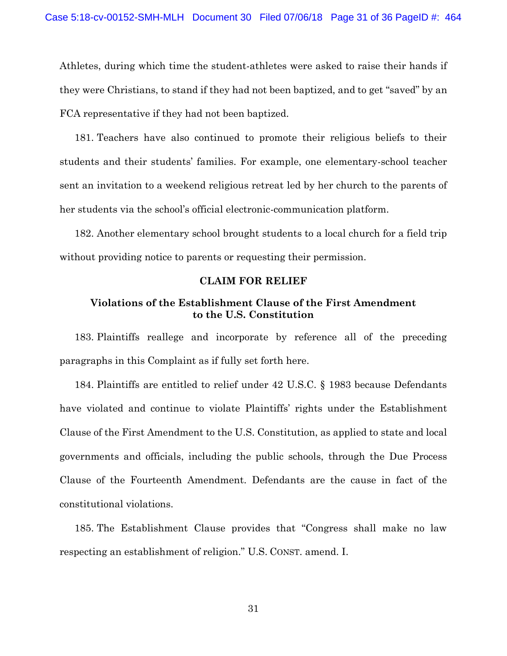Athletes, during which time the student-athletes were asked to raise their hands if they were Christians, to stand if they had not been baptized, and to get "saved" by an FCA representative if they had not been baptized.

181. Teachers have also continued to promote their religious beliefs to their students and their students' families. For example, one elementary-school teacher sent an invitation to a weekend religious retreat led by her church to the parents of her students via the school's official electronic-communication platform.

182. Another elementary school brought students to a local church for a field trip without providing notice to parents or requesting their permission.

#### **CLAIM FOR RELIEF**

### **Violations of the Establishment Clause of the First Amendment to the U.S. Constitution**

183. Plaintiffs reallege and incorporate by reference all of the preceding paragraphs in this Complaint as if fully set forth here.

184. Plaintiffs are entitled to relief under 42 U.S.C. § 1983 because Defendants have violated and continue to violate Plaintiffs' rights under the Establishment Clause of the First Amendment to the U.S. Constitution, as applied to state and local governments and officials, including the public schools, through the Due Process Clause of the Fourteenth Amendment. Defendants are the cause in fact of the constitutional violations.

185. The Establishment Clause provides that "Congress shall make no law respecting an establishment of religion." U.S. CONST. amend. I.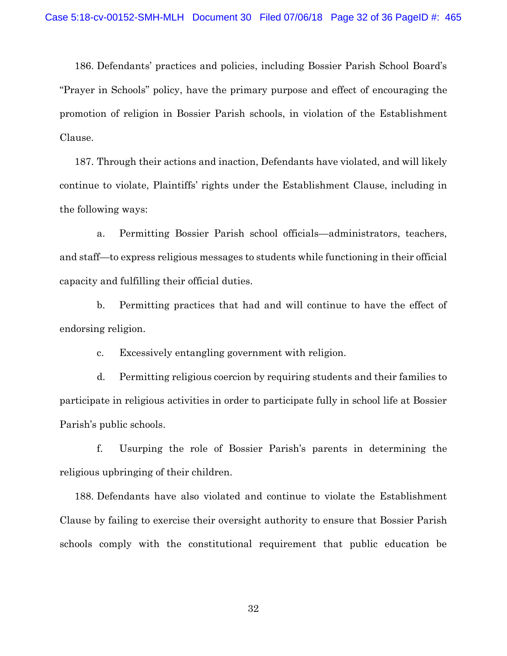186. Defendants' practices and policies, including Bossier Parish School Board's "Prayer in Schools" policy, have the primary purpose and effect of encouraging the promotion of religion in Bossier Parish schools, in violation of the Establishment Clause.

187. Through their actions and inaction, Defendants have violated, and will likely continue to violate, Plaintiffs' rights under the Establishment Clause, including in the following ways:

a. Permitting Bossier Parish school officials—administrators, teachers, and staff—to express religious messages to students while functioning in their official capacity and fulfilling their official duties.

b. Permitting practices that had and will continue to have the effect of endorsing religion.

c. Excessively entangling government with religion.

d. Permitting religious coercion by requiring students and their families to participate in religious activities in order to participate fully in school life at Bossier Parish's public schools.

f. Usurping the role of Bossier Parish's parents in determining the religious upbringing of their children.

188. Defendants have also violated and continue to violate the Establishment Clause by failing to exercise their oversight authority to ensure that Bossier Parish schools comply with the constitutional requirement that public education be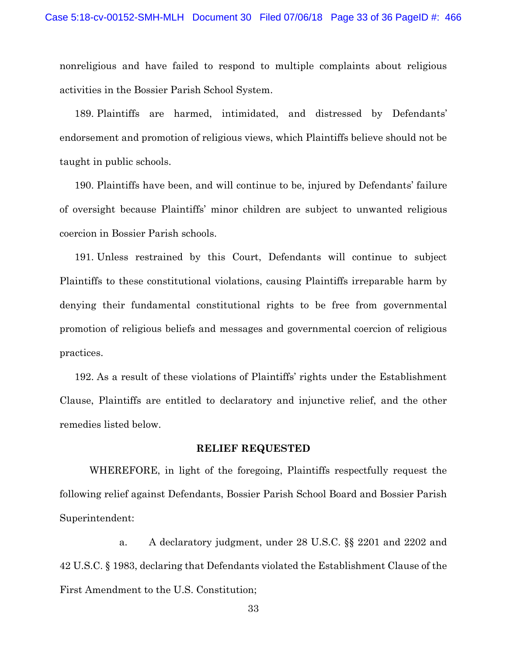nonreligious and have failed to respond to multiple complaints about religious activities in the Bossier Parish School System.

189. Plaintiffs are harmed, intimidated, and distressed by Defendants' endorsement and promotion of religious views, which Plaintiffs believe should not be taught in public schools.

190. Plaintiffs have been, and will continue to be, injured by Defendants' failure of oversight because Plaintiffs' minor children are subject to unwanted religious coercion in Bossier Parish schools.

191. Unless restrained by this Court, Defendants will continue to subject Plaintiffs to these constitutional violations, causing Plaintiffs irreparable harm by denying their fundamental constitutional rights to be free from governmental promotion of religious beliefs and messages and governmental coercion of religious practices.

192. As a result of these violations of Plaintiffs' rights under the Establishment Clause, Plaintiffs are entitled to declaratory and injunctive relief, and the other remedies listed below.

### **RELIEF REQUESTED**

WHEREFORE, in light of the foregoing, Plaintiffs respectfully request the following relief against Defendants, Bossier Parish School Board and Bossier Parish Superintendent:

a. A declaratory judgment, under 28 U.S.C. §§ 2201 and 2202 and 42 U.S.C. § 1983, declaring that Defendants violated the Establishment Clause of the First Amendment to the U.S. Constitution;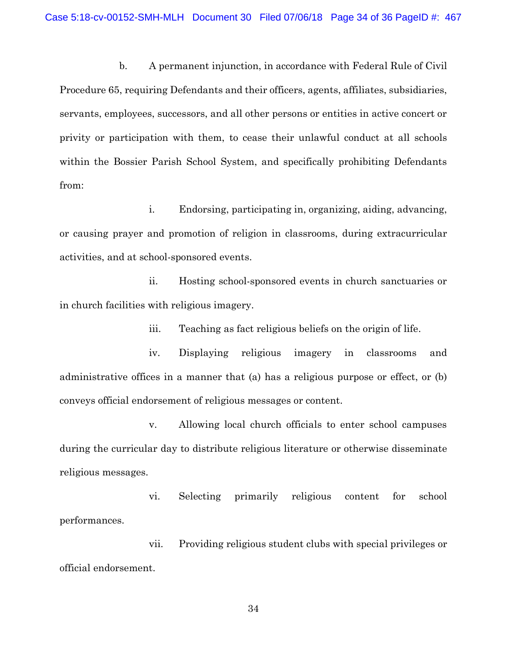b. A permanent injunction, in accordance with Federal Rule of Civil Procedure 65, requiring Defendants and their officers, agents, affiliates, subsidiaries, servants, employees, successors, and all other persons or entities in active concert or privity or participation with them, to cease their unlawful conduct at all schools within the Bossier Parish School System, and specifically prohibiting Defendants from:

i. Endorsing, participating in, organizing, aiding, advancing, or causing prayer and promotion of religion in classrooms, during extracurricular activities, and at school-sponsored events.

ii. Hosting school-sponsored events in church sanctuaries or in church facilities with religious imagery.

iii. Teaching as fact religious beliefs on the origin of life.

iv. Displaying religious imagery in classrooms and administrative offices in a manner that (a) has a religious purpose or effect, or (b) conveys official endorsement of religious messages or content.

v. Allowing local church officials to enter school campuses during the curricular day to distribute religious literature or otherwise disseminate religious messages.

vi. Selecting primarily religious content for school performances.

vii. Providing religious student clubs with special privileges or official endorsement.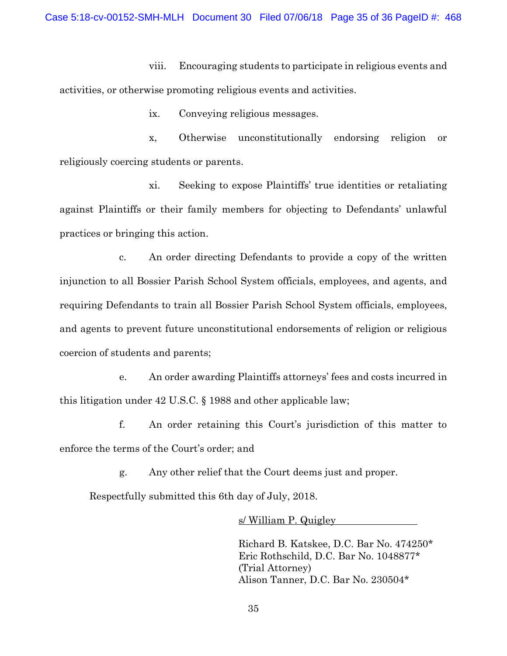viii. Encouraging students to participate in religious events and activities, or otherwise promoting religious events and activities.

ix. Conveying religious messages.

x, Otherwise unconstitutionally endorsing religion or religiously coercing students or parents.

xi. Seeking to expose Plaintiffs' true identities or retaliating against Plaintiffs or their family members for objecting to Defendants' unlawful practices or bringing this action.

c. An order directing Defendants to provide a copy of the written injunction to all Bossier Parish School System officials, employees, and agents, and requiring Defendants to train all Bossier Parish School System officials, employees, and agents to prevent future unconstitutional endorsements of religion or religious coercion of students and parents;

e. An order awarding Plaintiffs attorneys' fees and costs incurred in this litigation under 42 U.S.C. § 1988 and other applicable law;

f. An order retaining this Court's jurisdiction of this matter to enforce the terms of the Court's order; and

g. Any other relief that the Court deems just and proper.

Respectfully submitted this 6th day of July, 2018.

s/ William P. Quigley

Richard B. Katskee, D.C. Bar No. 474250\* Eric Rothschild, D.C. Bar No. 1048877\* (Trial Attorney) Alison Tanner, D.C. Bar No. 230504\*